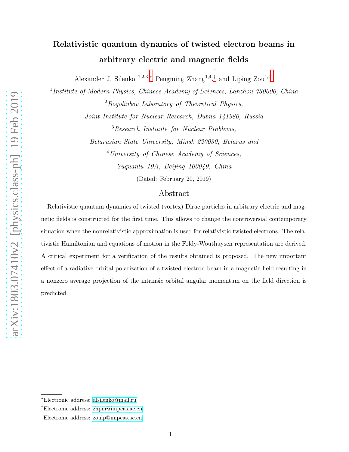## Relativistic quantum dynamics of twisted electron beams in arbitrary electric and magnetic fields

Alexander J. Silenko<sup>1,2,3</sup><sup>\*</sup>, Pengming Zhang<sup>1,4</sup><sup>[†](#page-0-1)</sup> and Liping Zou<sup>1,4[‡](#page-0-2)</sup>

<sup>1</sup>Institute of Modern Physics, Chinese Academy of Sciences, Lanzhou 730000, China  $2$ Bogoliubov Laboratory of Theoretical Physics,

Joint Institute for Nuclear Research, Dubna 141980, Russia <sup>3</sup>Research Institute for Nuclear Problems,

Belarusian State University, Minsk 220030, Belarus and <sup>4</sup>University of Chinese Academy of Sciences, Yuquanlu 19A, Beijing 100049, China

(Dated: February 20, 2019)

## Abstract

Relativistic quantum dynamics of twisted (vortex) Dirac particles in arbitrary electric and magnetic fields is constructed for the first time. This allows to change the controversial contemporary situation when the nonrelativistic approximation is used for relativistic twisted electrons. The relativistic Hamiltonian and equations of motion in the Foldy-Wouthuysen representation are derived. A critical experiment for a verification of the results obtained is proposed. The new important effect of a radiative orbital polarization of a twisted electron beam in a magnetic field resulting in a nonzero average projection of the intrinsic orbital angular momentum on the field direction is predicted.

<span id="page-0-1"></span><span id="page-0-0"></span><sup>∗</sup>Electronic address: [alsilenko@mail.ru](mailto:alsilenko@mail.ru)

<span id="page-0-2"></span><sup>†</sup>Electronic address: [zhpm@impcas.ac.cn](mailto:zhpm@impcas.ac.cn)

<sup>‡</sup>Electronic address: [zoulp@impcas.ac.cn](mailto:zoulp@impcas.ac.cn)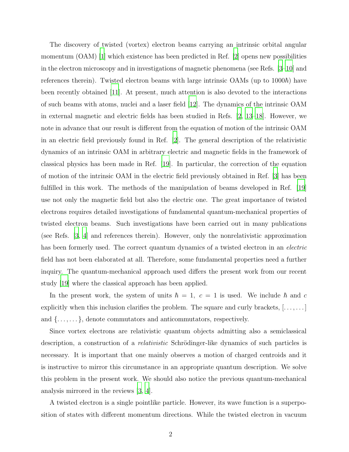The discovery of twisted (vortex) electron beams carrying an intrinsic orbital angular momentum  $(OAM)$  [\[1\]](#page-9-0) which existence has been predicted in Ref. [\[2\]](#page-10-0) opens new possibilities in the electron microscopy and in investigations of magnetic phenomena (see Refs. [\[3](#page-10-1)[–10](#page-10-2)] and references therein). Twisted electron beams with large intrinsic OAMs (up to  $1000\hbar$ ) have been recently obtained [\[11\]](#page-10-3). At present, much attention is also devoted to the interactions of such beams with atoms, nuclei and a laser field [\[12\]](#page-11-0). The dynamics of the intrinsic OAM in external magnetic and electric fields has been studied in Refs. [\[2,](#page-10-0) [13](#page-11-1)[–18\]](#page-11-2). However, we note in advance that our result is different from the equation of motion of the intrinsic OAM in an electric field previously found in Ref. [\[2\]](#page-10-0). The general description of the relativistic dynamics of an intrinsic OAM in arbitrary electric and magnetic fields in the framework of classical physics has been made in Ref. [\[19\]](#page-12-0). In particular, the correction of the equation of motion of the intrinsic OAM in the electric field previously obtained in Ref. [\[3\]](#page-10-1) has been fulfilled in this work. The methods of the manipulation of beams developed in Ref. [\[19\]](#page-12-0) use not only the magnetic field but also the electric one. The great importance of twisted electrons requires detailed investigations of fundamental quantum-mechanical properties of twisted electron beams. Such investigations have been carried out in many publications (see Refs. [\[3,](#page-10-1) [4\]](#page-10-4) and references therein). However, only the nonrelativistic approximation has been formerly used. The correct quantum dynamics of a twisted electron in an *electric* field has not been elaborated at all. Therefore, some fundamental properties need a further inquiry. The quantum-mechanical approach used differs the present work from our recent study [\[19](#page-12-0)] where the classical approach has been applied.

In the present work, the system of units  $\hbar = 1, c = 1$  is used. We include  $\hbar$  and c explicitly when this inclusion clarifies the problem. The square and curly brackets,  $[\ldots, \ldots]$ and  $\{\ldots,\ldots\}$ , denote commutators and anticommutators, respectively.

Since vortex electrons are relativistic quantum objects admitting also a semiclassical description, a construction of a *relativistic* Schrödinger-like dynamics of such particles is necessary. It is important that one mainly observes a motion of charged centroids and it is instructive to mirror this circumstance in an appropriate quantum description. We solve this problem in the present work. We should also notice the previous quantum-mechanical analysis mirrored in the reviews [\[3](#page-10-1), [4](#page-10-4)].

A twisted electron is a single pointlike particle. However, its wave function is a superposition of states with different momentum directions. While the twisted electron in vacuum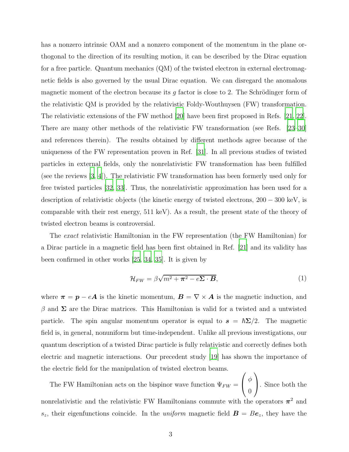has a nonzero intrinsic OAM and a nonzero component of the momentum in the plane orthogonal to the direction of its resulting motion, it can be described by the Dirac equation for a free particle. Quantum mechanics (QM) of the twisted electron in external electromagnetic fields is also governed by the usual Dirac equation. We can disregard the anomalous magnetic moment of the electron because its g factor is close to 2. The Schrödinger form of the relativistic QM is provided by the relativistic Foldy-Wouthuysen (FW) transformation. The relativistic extensions of the FW method [\[20](#page-12-1)] have been first proposed in Refs. [\[21](#page-12-2), [22\]](#page-12-3). There are many other methods of the relativistic FW transformation (see Refs. [\[23](#page-12-4)[–30\]](#page-12-5) and references therein). The results obtained by different methods agree because of the uniqueness of the FW representation proven in Ref. [\[31\]](#page-13-0). In all previous studies of twisted particles in external fields, only the nonrelativistic FW transformation has been fulfilled (see the reviews [\[3](#page-10-1), [4\]](#page-10-4)). The relativistic FW transformation has been formerly used only for free twisted particles [\[32,](#page-13-1) [33\]](#page-13-2). Thus, the nonrelativistic approximation has been used for a description of relativistic objects (the kinetic energy of twisted electrons, 200 − 300 keV, is comparable with their rest energy, 511 keV). As a result, the present state of the theory of twisted electron beams is controversial.

The exact relativistic Hamiltonian in the FW representation (the FW Hamiltonian) for a Dirac particle in a magnetic field has been first obtained in Ref. [\[21](#page-12-2)] and its validity has been confirmed in other works [\[25](#page-12-6), [34,](#page-13-3) [35\]](#page-13-4). It is given by

$$
\mathcal{H}_{FW} = \beta \sqrt{m^2 + \pi^2 - e\Sigma \cdot \boldsymbol{B}},\tag{1}
$$

where  $\pi = p - eA$  is the kinetic momentum,  $B = \nabla \times A$  is the magnetic induction, and  $β$  and  $Σ$  are the Dirac matrices. This Hamiltonian is valid for a twisted and a untwisted particle. The spin angular momentum operator is equal to  $s = \hbar \Sigma/2$ . The magnetic field is, in general, nonuniform but time-independent. Unlike all previous investigations, our quantum description of a twisted Dirac particle is fully relativistic and correctly defines both electric and magnetic interactions. Our precedent study [\[19](#page-12-0)] has shown the importance of the electric field for the manipulation of twisted electron beams.

The FW Hamiltonian acts on the bispinor wave function  $\Psi_{FW} =$  $\sqrt{ }$  $\overline{1}$ φ  $\theta$  $\setminus$ . Since both the nonrelativistic and the relativistic FW Hamiltonians commute with the operators  $\pi^2$  and  $s_z$ , their eigenfunctions coincide. In the *uniform* magnetic field  $\mathbf{B} = B\mathbf{e}_z$ , they have the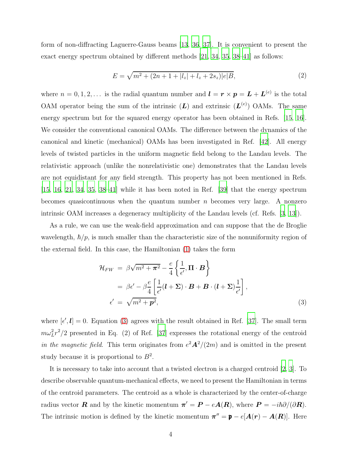form of non-diffracting Laguerre-Gauss beams [\[13,](#page-11-1) [36,](#page-13-5) [37](#page-13-6)]. It is convenient to present the exact energy spectrum obtained by different methods [\[21](#page-12-2), [34](#page-13-3), [35,](#page-13-4) [38](#page-13-7)[–41](#page-13-8)] as follows:

$$
E = \sqrt{m^2 + (2n + 1 + |l_z| + l_z + 2s_z)|e|B},\tag{2}
$$

where  $n = 0, 1, 2, \ldots$  is the radial quantum number and  $\mathbf{l} = \mathbf{r} \times \mathbf{p} = \mathbf{L} + \mathbf{L}^{(e)}$  is the total OAM operator being the sum of the intrinsic  $(L)$  and extrinsic  $(L^{(e)})$  OAMs. The same energy spectrum but for the squared energy operator has been obtained in Refs. [\[15](#page-11-3), [16\]](#page-11-4). We consider the conventional canonical OAMs. The difference between the dynamics of the canonical and kinetic (mechanical) OAMs has been investigated in Ref. [\[42\]](#page-13-9). All energy levels of twisted particles in the uniform magnetic field belong to the Landau levels. The relativistic approach (unlike the nonrelativistic one) demonstrates that the Landau levels are not equidistant for any field strength. This property has not been mentioned in Refs. [\[15,](#page-11-3) [16,](#page-11-4) [21,](#page-12-2) [34](#page-13-3), [35](#page-13-4), [38](#page-13-7)[–41](#page-13-8)] while it has been noted in Ref. [\[39](#page-13-10)] that the energy spectrum becomes quasicontinuous when the quantum number  $n$  becomes very large. A nonzero intrinsic OAM increases a degeneracy multiplicity of the Landau levels (cf. Refs. [\[3,](#page-10-1) [13\]](#page-11-1)).

As a rule, we can use the weak-field approximation and can suppose that the de Broglie wavelength,  $\hbar/p$ , is much smaller than the characteristic size of the nonuniformity region of the external field. In this case, the Hamiltonian [\(1\)](#page-16-0) takes the form

$$
\mathcal{H}_{FW} = \beta \sqrt{m^2 + \pi^2} - \frac{e}{4} \left\{ \frac{1}{\epsilon'}, \mathbf{\Pi} \cdot \mathbf{B} \right\}
$$
  
=  $\beta \epsilon' - \beta \frac{e}{4} \left[ \frac{1}{\epsilon'} (\mathbf{l} + \Sigma) \cdot \mathbf{B} + \mathbf{B} \cdot (\mathbf{l} + \Sigma) \frac{1}{\epsilon'} \right],$   
 $\epsilon' = \sqrt{m^2 + \mathbf{p}^2},$  (3)

where  $[\epsilon', \mathbf{l}] = 0$ . Equation [\(3\)](#page-16-1) agrees with the result obtained in Ref. [\[37](#page-13-6)]. The small term  $m\omega_L^2 r^2/2$  presented in Eq. (2) of Ref. [\[37](#page-13-6)] expresses the rotational energy of the centroid in the magnetic field. This term originates from  $e^2\mathbf{A}^2/(2m)$  and is omitted in the present study because it is proportional to  $B^2$ .

It is necessary to take into account that a twisted electron is a charged centroid [\[2,](#page-10-0) [3](#page-10-1)]. To describe observable quantum-mechanical effects, we need to present the Hamiltonian in terms of the centroid parameters. The centroid as a whole is characterized by the center-of-charge radius vector **R** and by the kinetic momentum  $\pi' = P - eA(R)$ , where  $P = -i\hbar\partial/(\partial R)$ . The intrinsic motion is defined by the kinetic momentum  $\boldsymbol{\pi}'' = \boldsymbol{p} - e[\boldsymbol{A}(\boldsymbol{r}) - \boldsymbol{A}(\boldsymbol{R})]$ . Here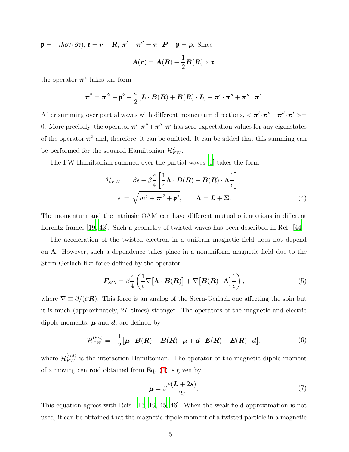$\mathfrak{p} = -i\hbar\partial/(\partial \mathfrak{r}), \mathfrak{r} = r - \mathbf{R}, \pi' + \pi'' = \pi, \, \mathbf{P} + \mathfrak{p} = \mathbf{p}$ . Since

$$
\boldsymbol{A}(\boldsymbol{r}) = \boldsymbol{A}(\boldsymbol{R}) + \frac{1}{2}\boldsymbol{B}(\boldsymbol{R})\times\boldsymbol{\mathfrak{r}},
$$

the operator  $\pi^2$  takes the form

$$
\boldsymbol{\pi}^2 = \boldsymbol{\pi'}^2 + \boldsymbol{\mathfrak{p}}^2 - \frac{e}{2}\left[\boldsymbol{L}\cdot\boldsymbol{B}(\boldsymbol{R}) + \boldsymbol{B}(\boldsymbol{R})\cdot\boldsymbol{L}\right] + \boldsymbol{\pi'}\cdot\boldsymbol{\pi''} + \boldsymbol{\pi''}\cdot\boldsymbol{\pi'}.
$$

After summing over partial waves with different momentum directions,  $\langle \pi' \cdot \pi'' + \pi'' \cdot \pi' \rangle =$ 0. More precisely, the operator  $\pi'\cdot \pi'' + \pi''\cdot \pi'$  has zero expectation values for any eigenstates of the operator  $\pi^2$  and, therefore, it can be omitted. It can be added that this summing can be performed for the squared Hamiltonian  $\mathcal{H}_{FW}^2$ .

The FW Hamiltonian summed over the partial waves [\[3](#page-10-1)] takes the form

$$
\mathcal{H}_{FW} = \beta \epsilon - \beta \frac{e}{4} \left[ \frac{1}{\epsilon} \mathbf{\Lambda} \cdot \mathbf{B}(\mathbf{R}) + \mathbf{B}(\mathbf{R}) \cdot \mathbf{\Lambda} \frac{1}{\epsilon} \right],
$$
\n
$$
\epsilon = \sqrt{m^2 + \pi'^2 + \mathbf{p}^2}, \qquad \mathbf{\Lambda} = \mathbf{L} + \mathbf{\Sigma}.
$$
\n(4)

The momentum and the intrinsic OAM can have different mutual orientations in different Lorentz frames [\[19](#page-12-0), [43\]](#page-13-11). Such a geometry of twisted waves has been described in Ref. [\[44\]](#page-13-12).

The acceleration of the twisted electron in a uniform magnetic field does not depend on  $\Lambda$ . However, such a dependence takes place in a nonuniform magnetic field due to the Stern-Gerlach-like force defined by the operator

$$
\boldsymbol{F}_{\text{SGI}} = \beta \frac{e}{4} \left( \frac{1}{\epsilon} \nabla \big[ \boldsymbol{\Lambda} \cdot \boldsymbol{B}(\boldsymbol{R}) \big] + \nabla \big[ \boldsymbol{B}(\boldsymbol{R}) \cdot \boldsymbol{\Lambda} \big] \frac{1}{\epsilon} \right),\tag{5}
$$

where  $\nabla \equiv \partial/(\partial \mathbf{R})$ . This force is an analog of the Stern-Gerlach one affecting the spin but it is much (approximately, 2L times) stronger. The operators of the magnetic and electric dipole moments,  $\mu$  and  $d$ , are defined by

$$
\mathcal{H}_{FW}^{(int)} = -\frac{1}{2} \big[ \boldsymbol{\mu} \cdot \boldsymbol{B}(\boldsymbol{R}) + \boldsymbol{B}(\boldsymbol{R}) \cdot \boldsymbol{\mu} + \boldsymbol{d} \cdot \boldsymbol{E}(\boldsymbol{R}) + \boldsymbol{E}(\boldsymbol{R}) \cdot \boldsymbol{d} \big], \tag{6}
$$

where  $\mathcal{H}_{FW}^{(int)}$  is the interaction Hamiltonian. The operator of the magnetic dipole moment of a moving centroid obtained from Eq. [\(4\)](#page-16-2) is given by

$$
\mu = \beta \frac{e(L + 2s)}{2\epsilon}.
$$
\n(7)

This equation agrees with Refs. [\[15](#page-11-3), [19,](#page-12-0) [45,](#page-14-0) [46\]](#page-14-1). When the weak-field approximation is not used, it can be obtained that the magnetic dipole moment of a twisted particle in a magnetic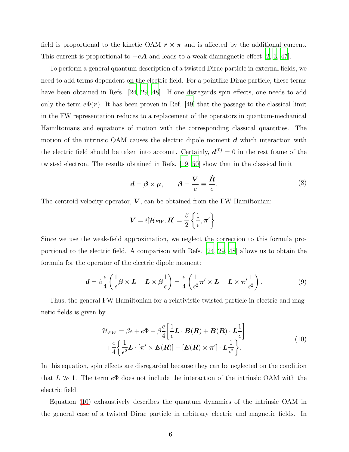field is proportional to the kinetic OAM  $r \times \pi$  and is affected by the additional current. This current is proportional to  $-eA$  and leads to a weak diamagnetic effect [\[2,](#page-10-0) [3,](#page-10-1) [47\]](#page-14-2).

To perform a general quantum description of a twisted Dirac particle in external fields, we need to add terms dependent on the electric field. For a pointlike Dirac particle, these terms have been obtained in Refs. [\[24,](#page-12-7) [29](#page-12-8), [48\]](#page-14-3). If one disregards spin effects, one needs to add only the term  $e\Phi(r)$ . It has been proven in Ref. [\[49\]](#page-14-4) that the passage to the classical limit in the FW representation reduces to a replacement of the operators in quantum-mechanical Hamiltonians and equations of motion with the corresponding classical quantities. The motion of the intrinsic OAM causes the electric dipole moment  $d$  which interaction with the electric field should be taken into account. Certainly,  $\boldsymbol{d}^{(0)} = 0$  in the rest frame of the twisted electron. The results obtained in Refs. [\[19,](#page-12-0) [50\]](#page-14-5) show that in the classical limit

$$
\boldsymbol{d} = \boldsymbol{\beta} \times \boldsymbol{\mu}, \qquad \boldsymbol{\beta} = \frac{\boldsymbol{V}}{c} \equiv \frac{\dot{\boldsymbol{R}}}{c}.
$$

The centroid velocity operator,  $V$ , can be obtained from the FW Hamiltonian:

$$
\boldsymbol{V}=i[\mathcal{H}_{FW},\boldsymbol{R}]=\frac{\beta}{2}\left\{\frac{1}{\epsilon},\boldsymbol{\pi}'\right\}.
$$

Since we use the weak-field approximation, we neglect the correction to this formula proportional to the electric field. A comparison with Refs. [\[24,](#page-12-7) [29,](#page-12-8) [48\]](#page-14-3) allows us to obtain the formula for the operator of the electric dipole moment:

$$
\mathbf{d} = \beta \frac{e}{4} \left( \frac{1}{\epsilon} \boldsymbol{\beta} \times \mathbf{L} - \mathbf{L} \times \boldsymbol{\beta} \frac{1}{\epsilon} \right) = \frac{e}{4} \left( \frac{1}{\epsilon^2} \boldsymbol{\pi}' \times \mathbf{L} - \mathbf{L} \times \boldsymbol{\pi}' \frac{1}{\epsilon^2} \right).
$$
 (9)

Thus, the general FW Hamiltonian for a relativistic twisted particle in electric and magnetic fields is given by

<span id="page-5-0"></span>
$$
\mathcal{H}_{FW} = \beta \epsilon + e\Phi - \beta \frac{e}{4} \left[ \frac{1}{\epsilon} \mathbf{L} \cdot \mathbf{B}(\mathbf{R}) + \mathbf{B}(\mathbf{R}) \cdot \mathbf{L} \frac{1}{\epsilon} \right] \n+ \frac{e}{4} \left\{ \frac{1}{\epsilon^2} \mathbf{L} \cdot [\boldsymbol{\pi}' \times \mathbf{E}(\mathbf{R})] - [\mathbf{E}(\mathbf{R}) \times \boldsymbol{\pi}'] \cdot \mathbf{L} \frac{1}{\epsilon^2} \right\}.
$$
\n(10)

In this equation, spin effects are disregarded because they can be neglected on the condition that  $L \gg 1$ . The term  $e\Phi$  does not include the interaction of the intrinsic OAM with the electric field.

Equation [\(10\)](#page-5-0) exhaustively describes the quantum dynamics of the intrinsic OAM in the general case of a twisted Dirac particle in arbitrary electric and magnetic fields. In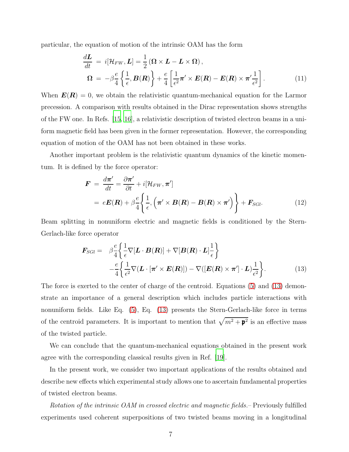particular, the equation of motion of the intrinsic OAM has the form

$$
\frac{d\mathbf{L}}{dt} = i[\mathcal{H}_{FW}, \mathbf{L}] = \frac{1}{2} (\mathbf{\Omega} \times \mathbf{L} - \mathbf{L} \times \mathbf{\Omega}),
$$
\n
$$
\mathbf{\Omega} = -\beta \frac{e}{4} \left\{ \frac{1}{\epsilon}, \mathbf{B}(\mathbf{R}) \right\} + \frac{e}{4} \left[ \frac{1}{\epsilon^2} \boldsymbol{\pi}' \times \mathbf{E}(\mathbf{R}) - \mathbf{E}(\mathbf{R}) \times \boldsymbol{\pi}' \frac{1}{\epsilon^2} \right].
$$
\n(11)

When  $E(R) = 0$ , we obtain the relativistic quantum-mechanical equation for the Larmor precession. A comparison with results obtained in the Dirac representation shows strengths of the FW one. In Refs. [\[15,](#page-11-3) [16\]](#page-11-4), a relativistic description of twisted electron beams in a uniform magnetic field has been given in the former representation. However, the corresponding equation of motion of the OAM has not been obtained in these works.

Another important problem is the relativistic quantum dynamics of the kinetic momentum. It is defined by the force operator:

$$
\mathbf{F} = \frac{d\boldsymbol{\pi}'}{dt} = \frac{\partial \boldsymbol{\pi}'}{\partial t} + i[\mathcal{H}_{FW}, \boldsymbol{\pi}']
$$
  
=  $e\mathbf{E}(\mathbf{R}) + \beta \frac{e}{4} \left\{ \frac{1}{\epsilon}, \left( \boldsymbol{\pi}' \times \mathbf{B}(\mathbf{R}) - \mathbf{B}(\mathbf{R}) \times \boldsymbol{\pi}' \right) \right\} + \mathbf{F}_{SGI}.$  (12)

Beam splitting in nonuniform electric and magnetic fields is conditioned by the Stern-Gerlach-like force operator

<span id="page-6-0"></span>
$$
\boldsymbol{F}_{\text{SGI}} = \beta \frac{e}{4} \left\{ \frac{1}{\epsilon} \nabla [\boldsymbol{L} \cdot \boldsymbol{B}(\boldsymbol{R})] + \nabla [\boldsymbol{B}(\boldsymbol{R}) \cdot \boldsymbol{L}] \frac{1}{\epsilon} \right\} \n- \frac{e}{4} \left\{ \frac{1}{\epsilon^2} \nabla (\boldsymbol{L} \cdot [\boldsymbol{\pi}' \times \boldsymbol{E}(\boldsymbol{R})]) - \nabla ([\boldsymbol{E}(\boldsymbol{R}) \times \boldsymbol{\pi}'] \cdot \boldsymbol{L}) \frac{1}{\epsilon^2} \right\}.
$$
\n(13)

The force is exerted to the center of charge of the centroid. Equations [\(5\)](#page-17-0) and [\(13\)](#page-6-0) demonstrate an importance of a general description which includes particle interactions with nonuniform fields. Like Eq. [\(5\)](#page-17-0), Eq. [\(13\)](#page-6-0) presents the Stern-Gerlach-like force in terms of the centroid parameters. It is important to mention that  $\sqrt{m^2 + \mathbf{p}^2}$  is an effective mass of the twisted particle.

We can conclude that the quantum-mechanical equations obtained in the present work agree with the corresponding classical results given in Ref. [\[19\]](#page-12-0).

In the present work, we consider two important applications of the results obtained and describe new effects which experimental study allows one to ascertain fundamental properties of twisted electron beams.

Rotation of the intrinsic OAM in crossed electric and magnetic fields.– Previously fulfilled experiments used coherent superpositions of two twisted beams moving in a longitudinal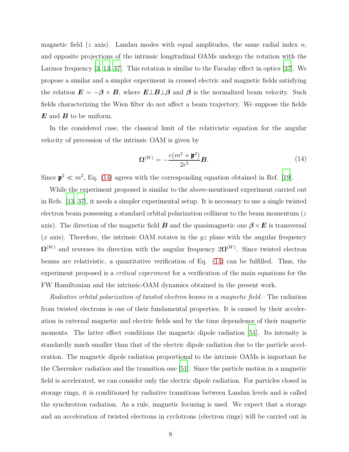magnetic field (z axis). Landau modes with equal amplitudes, the same radial index  $n$ , and opposite projections of the intrinsic longitudinal OAMs undergo the rotation with the Larmor frequency [\[3,](#page-10-1) [13,](#page-11-1) [37\]](#page-13-6). This rotation is similar to the Faraday effect in optics [\[37\]](#page-13-6). We propose a similar and a simpler experiment in crossed electric and magnetic fields satisfying the relation  $\mathbf{E} = -\boldsymbol{\beta} \times \mathbf{B}$ , where  $\mathbf{E} \perp \mathbf{B} \perp \boldsymbol{\beta}$  and  $\boldsymbol{\beta}$  is the normalized beam velocity. Such fields characterizing the Wien filter do not affect a beam trajectory. We suppose the fields  $\boldsymbol{E}$  and  $\boldsymbol{B}$  to be uniform.

In the considered case, the classical limit of the relativistic equation for the angular velocity of precession of the intrinsic OAM is given by

<span id="page-7-0"></span>
$$
\Omega^{(W)} = -\frac{e(m^2 + \mathbf{p}^2)}{2\epsilon^3} \mathbf{B}.
$$
\n(14)

Since  $\mathbf{p}^2 \ll m^2$ , Eq. [\(14\)](#page-7-0) agrees with the corresponding equation obtained in Ref. [\[19\]](#page-12-0).

While the experiment proposed is similar to the above-mentioned experiment carried out in Refs. [\[13](#page-11-1), [37](#page-13-6)], it needs a simpler experimental setup. It is necessary to use a single twisted electron beam possessing a standard orbital polarization collinear to the beam momentum (z axis). The direction of the magnetic field **B** and the quasimagnetic one  $\beta \times E$  is transversal  $(x \text{ axis})$ . Therefore, the intrinsic OAM rotates in the yz plane with the angular frequency  $\Omega^{(W)}$  and reverses its direction with the angular frequency  $2\Omega^{(W)}$ . Since twisted electron beams are relativistic, a quantitative verification of Eq. [\(14\)](#page-7-0) can be fulfilled. Thus, the experiment proposed is a *critical experiment* for a verification of the main equations for the FW Hamiltonian and the intrinsic-OAM dynamics obtained in the present work.

Radiative orbital polarization of twisted electron beams in a magnetic field.– The radiation from twisted electrons is one of their fundamental properties. It is caused by their acceleration in external magnetic and electric fields and by the time dependence of their magnetic moments. The latter effect conditions the magnetic dipole radiation [\[51](#page-14-6)]. Its intensity is standardly much smaller than that of the electric dipole radiation due to the particle acceleration. The magnetic dipole radiation proportional to the intrinsic OAMs is important for the Cherenkov radiation and the transition one [\[51](#page-14-6)]. Since the particle motion in a magnetic field is accelerated, we can consider only the electric dipole radiation. For particles closed in storage rings, it is conditioned by radiative transitions between Landau levels and is called the synchrotron radiation. As a rule, magnetic focusing is used. We expect that a storage and an acceleration of twisted electrons in cyclotrons (electron rings) will be carried out in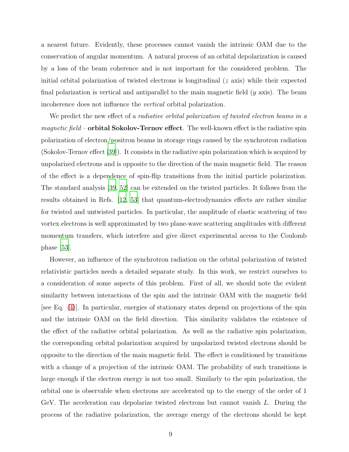a nearest future. Evidently, these processes cannot vanish the intrinsic OAM due to the conservation of angular momentum. A natural process of an orbital depolarization is caused by a loss of the beam coherence and is not important for the considered problem. The initial orbital polarization of twisted electrons is longitudinal  $(z \text{ axis})$  while their expected final polarization is vertical and antiparallel to the main magnetic field  $(y \text{ axis})$ . The beam incoherence does not influence the vertical orbital polarization.

We predict the new effect of a *radiative orbital polarization of twisted electron beams in a magnetic field* – **orbital Sokolov-Ternov effect**. The well-known effect is the radiative spin polarization of electron/positron beams in storage rings caused by the synchrotron radiation (Sokolov-Ternov effect [\[39](#page-13-10)]). It consists in the radiative spin polarization which is acquired by unpolarized electrons and is opposite to the direction of the main magnetic field. The reason of the effect is a dependence of spin-flip transitions from the initial particle polarization. The standard analysis [\[39](#page-13-10), [52](#page-14-7)] can be extended on the twisted particles. It follows from the results obtained in Refs. [\[12](#page-11-0), [53\]](#page-14-8) that quantum-electrodynamics effects are rather similar for twisted and untwisted particles. In particular, the amplitude of elastic scattering of two vortex electrons is well approximated by two plane-wave scattering amplitudes with different momentum transfers, which interfere and give direct experimental access to the Coulomb phase [\[53\]](#page-14-8).

However, an influence of the synchrotron radiation on the orbital polarization of twisted relativistic particles needs a detailed separate study. In this work, we restrict ourselves to a consideration of some aspects of this problem. First of all, we should note the evident similarity between interactions of the spin and the intrinsic OAM with the magnetic field [see Eq. [\(4\)](#page-16-2)]. In particular, energies of stationary states depend on projections of the spin and the intrinsic OAM on the field direction. This similarity validates the existence of the effect of the radiative orbital polarization. As well as the radiative spin polarization, the corresponding orbital polarization acquired by unpolarized twisted electrons should be opposite to the direction of the main magnetic field. The effect is conditioned by transitions with a change of a projection of the intrinsic OAM. The probability of such transitions is large enough if the electron energy is not too small. Similarly to the spin polarization, the orbital one is observable when electrons are accelerated up to the energy of the order of 1 GeV. The acceleration can depolarize twisted electrons but cannot vanish L. During the process of the radiative polarization, the average energy of the electrons should be kept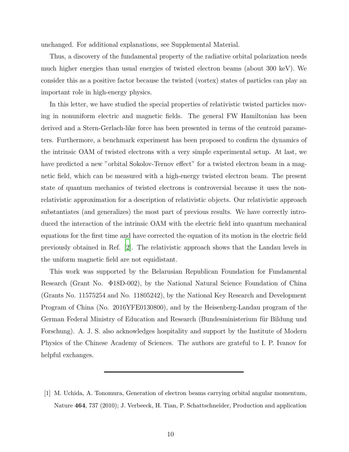unchanged. For additional explanations, see Supplemental Material.

Thus, a discovery of the fundamental property of the radiative orbital polarization needs much higher energies than usual energies of twisted electron beams (about 300 keV). We consider this as a positive factor because the twisted (vortex) states of particles can play an important role in high-energy physics.

In this letter, we have studied the special properties of relativistic twisted particles moving in nonuniform electric and magnetic fields. The general FW Hamiltonian has been derived and a Stern-Gerlach-like force has been presented in terms of the centroid parameters. Furthermore, a benchmark experiment has been proposed to confirm the dynamics of the intrinsic OAM of twisted electrons with a very simple experimental setup. At last, we have predicted a new "orbital Sokolov-Ternov effect" for a twisted electron beam in a magnetic field, which can be measured with a high-energy twisted electron beam. The present state of quantum mechanics of twisted electrons is controversial because it uses the nonrelativistic approximation for a description of relativistic objects. Our relativistic approach substantiates (and generalizes) the most part of previous results. We have correctly introduced the interaction of the intrinsic OAM with the electric field into quantum mechanical equations for the first time and have corrected the equation of its motion in the electric field previously obtained in Ref. [\[2](#page-10-0)]. The relativistic approach shows that the Landau levels in the uniform magnetic field are not equidistant.

This work was supported by the Belarusian Republican Foundation for Fundamental Research (Grant No. Φ18D-002), by the National Natural Science Foundation of China (Grants No. 11575254 and No. 11805242), by the National Key Research and Development Program of China (No. 2016YFE0130800), and by the Heisenberg-Landau program of the German Federal Ministry of Education and Research (Bundesministerium für Bildung und Forschung). A. J. S. also acknowledges hospitality and support by the Institute of Modern Physics of the Chinese Academy of Sciences. The authors are grateful to I. P. Ivanov for helpful exchanges.

<span id="page-9-0"></span><sup>[1]</sup> M. Uchida, A. Tonomura, Generation of electron beams carrying orbital angular momentum, Nature 464, 737 (2010); J. Verbeeck, H. Tian, P. Schattschneider, Production and application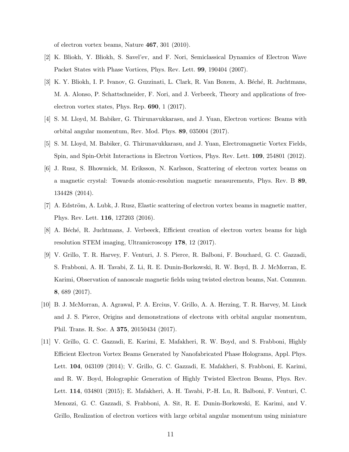of electron vortex beams, Nature 467, 301 (2010).

- <span id="page-10-0"></span>[2] K. Bliokh, Y. Bliokh, S. Savel'ev, and F. Nori, Semiclassical Dynamics of Electron Wave Packet States with Phase Vortices, Phys. Rev. Lett. 99, 190404 (2007).
- <span id="page-10-1"></span>[3] K. Y. Bliokh, I. P. Ivanov, G. Guzzinati, L. Clark, R. Van Boxem, A. Béché, R. Juchtmans, M. A. Alonso, P. Schattschneider, F. Nori, and J. Verbeeck, Theory and applications of freeelectron vortex states, Phys. Rep. 690, 1 (2017).
- <span id="page-10-4"></span>[4] S. M. Lloyd, M. Babiker, G. Thirunavukkarasu, and J. Yuan, Electron vortices: Beams with orbital angular momentum, Rev. Mod. Phys. 89, 035004 (2017).
- [5] S. M. Lloyd, M. Babiker, G. Thirunavukkarasu, and J. Yuan, Electromagnetic Vortex Fields, Spin, and Spin-Orbit Interactions in Electron Vortices, Phys. Rev. Lett. 109, 254801 (2012).
- [6] J. Rusz, S. Bhowmick, M. Eriksson, N. Karlsson, Scattering of electron vortex beams on a magnetic crystal: Towards atomic-resolution magnetic measurements, Phys. Rev. B 89, 134428 (2014).
- [7] A. Edström, A. Lubk, J. Rusz, Elastic scattering of electron vortex beams in magnetic matter, Phys. Rev. Lett. 116, 127203 (2016).
- [8] A. Béché, R. Juchtmans, J. Verbeeck, Efficient creation of electron vortex beams for high resolution STEM imaging, Ultramicroscopy 178, 12 (2017).
- [9] V. Grillo, T. R. Harvey, F. Venturi, J. S. Pierce, R. Balboni, F. Bouchard, G. C. Gazzadi, S. Frabboni, A. H. Tavabi, Z. Li, R. E. Dunin-Borkowski, R. W. Boyd, B. J. McMorran, E. Karimi, Observation of nanoscale magnetic fields using twisted electron beams, Nat. Commun. 8, 689 (2017).
- <span id="page-10-2"></span>[10] B. J. McMorran, A. Agrawal, P. A. Ercius, V. Grillo, A. A. Herzing, T. R. Harvey, M. Linck and J. S. Pierce, Origins and demonstrations of electrons with orbital angular momentum, Phil. Trans. R. Soc. A 375, 20150434 (2017).
- <span id="page-10-3"></span>[11] V. Grillo, G. C. Gazzadi, E. Karimi, E. Mafakheri, R. W. Boyd, and S. Frabboni, Highly Efficient Electron Vortex Beams Generated by Nanofabricated Phase Holograms, Appl. Phys. Lett. 104, 043109 (2014); V. Grillo, G. C. Gazzadi, E. Mafakheri, S. Frabboni, E. Karimi, and R. W. Boyd, Holographic Generation of Highly Twisted Electron Beams, Phys. Rev. Lett. 114, 034801 (2015); E. Mafakheri, A. H. Tavabi, P.-H. Lu, R. Balboni, F. Venturi, C. Menozzi, G. C. Gazzadi, S. Frabboni, A. Sit, R. E. Dunin-Borkowski, E. Karimi, and V. Grillo, Realization of electron vortices with large orbital angular momentum using miniature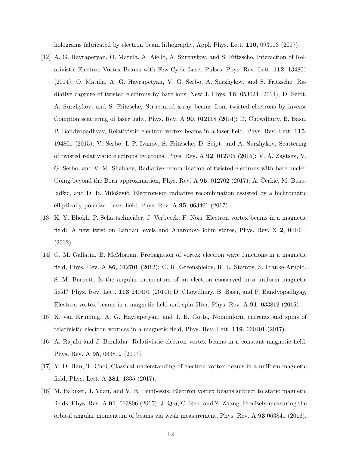holograms fabricated by electron beam lithography, Appl. Phys. Lett. **110**, 093113 (2017).

- <span id="page-11-0"></span>[12] A. G. Hayrapetyan, O. Matula, A. Aiello, A. Surzhykov, and S. Fritzsche, Interaction of Relativistic Electron-Vortex Beams with Few-Cycle Laser Pulses, Phys. Rev. Lett. 112, 134801 (2014); O. Matula, A. G. Hayrapetyan, V. G. Serbo, A. Surzhykov, and S. Fritzsche, Radiative capture of twisted electrons by bare ions, New J. Phys. 16, 053024 (2014); D. Seipt, A. Surzhykov, and S. Fritzsche, Structured x-ray beams from twisted electrons by inverse Compton scattering of laser light, Phys. Rev. A 90, 012118 (2014); D. Chowdhury, B. Basu, P. Bandyopadhyay, Relativistic electron vortex beams in a laser field, Phys. Rev. Lett. 115, 194801 (2015); V. Serbo, I. P. Ivanov, S. Fritzsche, D. Seipt, and A. Surzhykov, Scattering of twisted relativistic electrons by atoms, Phys. Rev. A 92, 012705 (2015); V. A. Zaytsev, V. G. Serbo, and V. M. Shabaev, Radiative recombination of twisted electrons with bare nuclei: Going beyond the Born approximation, Phys. Rev. A  $95, 012702$  (2017); A. Cerkić, M. Busuladžić, and D. B. Milošević, Electron-ion radiative recombination assisted by a bichromatic elliptically polarized laser field, Phys. Rev. A 95, 063401 (2017).
- <span id="page-11-1"></span>[13] K. Y. Bliokh, P. Schattschneider, J. Verbeeck, F. Nori, Electron vortex beams in a magnetic field: A new twist on Landau levels and Aharonov-Bohm states, Phys. Rev. X 2, 041011 (2012).
- [14] G. M. Gallatin, B. McMorran, Propagation of vortex electron wave functions in a magnetic field, Phys. Rev. A 86, 012701 (2012); C. R. Greenshields, R. L. Stamps, S. Franke-Arnold, S. M. Barnett, Is the angular momentum of an electron conserved in a uniform magnetic field? Phys. Rev. Lett. 113 240404 (2014); D. Chowdhury, B. Basu, and P. Bandyopadhyay, Electron vortex beams in a magnetic field and spin filter, Phys. Rev. A 91, 033812 (2015).
- <span id="page-11-3"></span>[15] K. van Kruining, A. G. Hayrapetyan, and J. B. Götte, Nonuniform currents and spins of relativistic electron vortices in a magnetic field, Phys. Rev. Lett. 119, 030401 (2017).
- <span id="page-11-4"></span>[16] A. Rajabi and J. Berakdar, Relativistic electron vortex beams in a constant magnetic field, Phys. Rev. A 95, 063812 (2017).
- [17] Y. D. Han, T. Choi, Classical understanding of electron vortex beams in a uniform magnetic field, Phys. Lett. A 381, 1335 (2017).
- <span id="page-11-2"></span>[18] M. Babiker, J. Yuan, and V. E. Lembessis, Electron vortex beams subject to static magnetic fields, Phys. Rev. A 91, 013806 (2015); J. Qiu, C. Ren, and Z. Zhang, Precisely measuring the orbital angular momentum of beams via weak measurement, Phys. Rev. A 93 063841 (2016).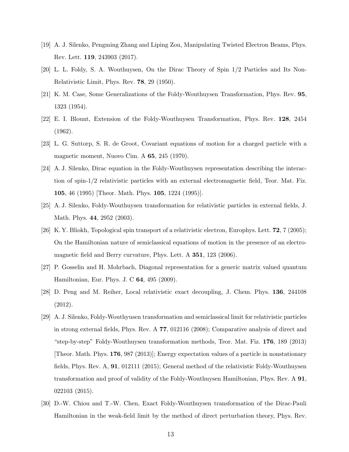- <span id="page-12-0"></span>[19] A. J. Silenko, Pengming Zhang and Liping Zou, Manipulating Twisted Electron Beams, Phys. Rev. Lett. 119, 243903 (2017).
- <span id="page-12-1"></span>[20] L. L. Foldy, S. A. Wouthuysen, On the Dirac Theory of Spin 1/2 Particles and Its Non-Relativistic Limit, Phys. Rev. 78, 29 (1950).
- <span id="page-12-2"></span>[21] K. M. Case, Some Generalizations of the Foldy-Wouthuysen Transformation, Phys. Rev. 95, 1323 (1954).
- <span id="page-12-3"></span>[22] E. I. Blount, Extension of the Foldy-Wouthuysen Transformation, Phys. Rev. 128, 2454 (1962).
- <span id="page-12-4"></span>[23] L. G. Suttorp, S. R. de Groot, Covariant equations of motion for a charged particle with a magnetic moment, Nuovo Cim. A 65, 245 (1970).
- <span id="page-12-7"></span>[24] A. J. Silenko, Dirac equation in the Foldy-Wouthuysen representation describing the interaction of spin-1/2 relativistic particles with an external electromagnetic field, Teor. Mat. Fiz. 105, 46 (1995) [Theor. Math. Phys. 105, 1224 (1995)].
- <span id="page-12-6"></span>[25] A. J. Silenko, Foldy-Wouthuysen transformation for relativistic particles in external fields, J. Math. Phys. 44, 2952 (2003).
- [26] K. Y. Bliokh, Topological spin transport of a relativistic electron, Europhys. Lett. 72, 7 (2005); On the Hamiltonian nature of semiclassical equations of motion in the presence of an electromagnetic field and Berry curvature, Phys. Lett. A 351, 123 (2006).
- [27] P. Gosselin and H. Mohrbach, Diagonal representation for a generic matrix valued quantum Hamiltonian, Eur. Phys. J. C 64, 495 (2009).
- [28] D. Peng and M. Reiher, Local relativistic exact decoupling, J. Chem. Phys. 136, 244108 (2012).
- <span id="page-12-8"></span>[29] A. J. Silenko, Foldy-Wouthyusen transformation and semiclassical limit for relativistic particles in strong external fields, Phys. Rev. A 77, 012116 (2008); Comparative analysis of direct and "step-by-step" Foldy-Wouthuysen transformation methods, Teor. Mat. Fiz. 176, 189 (2013) [Theor. Math. Phys. 176, 987 (2013)]; Energy expectation values of a particle in nonstationary fields, Phys. Rev. A, 91, 012111 (2015); General method of the relativistic Foldy-Wouthuysen transformation and proof of validity of the Foldy-Wouthuysen Hamiltonian, Phys. Rev. A 91, 022103 (2015).
- <span id="page-12-5"></span>[30] D.-W. Chiou and T.-W. Chen, Exact Foldy-Wouthuysen transformation of the Dirac-Pauli Hamiltonian in the weak-field limit by the method of direct perturbation theory, Phys. Rev.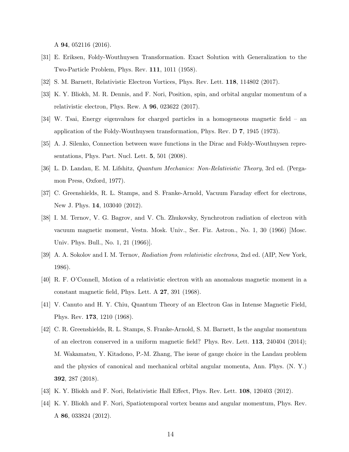A 94, 052116 (2016).

- <span id="page-13-0"></span>[31] E. Eriksen, Foldy-Wouthuysen Transformation. Exact Solution with Generalization to the Two-Particle Problem, Phys. Rev. 111, 1011 (1958).
- <span id="page-13-2"></span><span id="page-13-1"></span>[32] S. M. Barnett, Relativistic Electron Vortices, Phys. Rev. Lett. 118, 114802 (2017).
- [33] K. Y. Bliokh, M. R. Dennis, and F. Nori, Position, spin, and orbital angular momentum of a relativistic electron, Phys. Rew. A 96, 023622 (2017).
- <span id="page-13-3"></span>[34] W. Tsai, Energy eigenvalues for charged particles in a homogeneous magnetic field – an application of the Foldy-Wouthuysen transformation, Phys. Rev. D 7, 1945 (1973).
- <span id="page-13-4"></span>[35] A. J. Silenko, Connection between wave functions in the Dirac and Foldy-Wouthuysen representations, Phys. Part. Nucl. Lett. 5, 501 (2008).
- <span id="page-13-5"></span>[36] L. D. Landau, E. M. Lifshitz, Quantum Mechanics: Non-Relativistic Theory, 3rd ed. (Pergamon Press, Oxford, 1977).
- <span id="page-13-6"></span>[37] C. Greenshields, R. L. Stamps, and S. Franke-Arnold, Vacuum Faraday effect for electrons, New J. Phys. 14, 103040 (2012).
- <span id="page-13-7"></span>[38] I. M. Ternov, V. G. Bagrov, and V. Ch. Zhukovsky, Synchrotron radiation of electron with vacuum magnetic moment, Vestn. Mosk. Univ., Ser. Fiz. Astron., No. 1, 30 (1966) [Mosc. Univ. Phys. Bull., No. 1, 21 (1966)].
- <span id="page-13-10"></span>[39] A. A. Sokolov and I. M. Ternov, Radiation from relativistic electrons, 2nd ed. (AIP, New York, 1986).
- [40] R. F. O'Connell, Motion of a relativistic electron with an anomalous magnetic moment in a constant magnetic field, Phys. Lett. A 27, 391 (1968).
- <span id="page-13-8"></span>[41] V. Canuto and H. Y. Chiu, Quantum Theory of an Electron Gas in Intense Magnetic Field, Phys. Rev. 173, 1210 (1968).
- <span id="page-13-9"></span>[42] C. R. Greenshields, R. L. Stamps, S. Franke-Arnold, S. M. Barnett, Is the angular momentum of an electron conserved in a uniform magnetic field? Phys. Rev. Lett. 113, 240404 (2014); M. Wakamatsu, Y. Kitadono, P.-M. Zhang, The issue of gauge choice in the Landau problem and the physics of canonical and mechanical orbital angular momenta, Ann. Phys. (N. Y.) 392, 287 (2018).
- <span id="page-13-11"></span>[43] K. Y. Bliokh and F. Nori, Relativistic Hall Effect, Phys. Rev. Lett. 108, 120403 (2012).
- <span id="page-13-12"></span>[44] K. Y. Bliokh and F. Nori, Spatiotemporal vortex beams and angular momentum, Phys. Rev. A 86, 033824 (2012).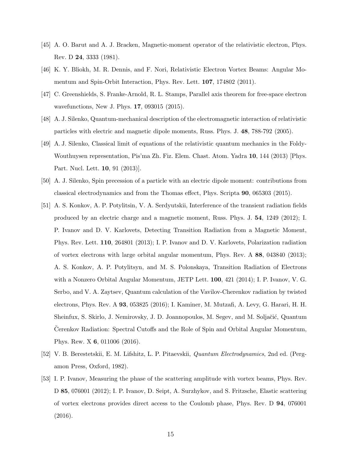- <span id="page-14-0"></span>[45] A. O. Barut and A. J. Bracken, Magnetic-moment operator of the relativistic electron, Phys. Rev. D 24, 3333 (1981).
- <span id="page-14-1"></span>[46] K. Y. Bliokh, M. R. Dennis, and F. Nori, Relativistic Electron Vortex Beams: Angular Momentum and Spin-Orbit Interaction, Phys. Rev. Lett. 107, 174802 (2011).
- <span id="page-14-2"></span>[47] C. Greenshields, S. Franke-Arnold, R. L. Stamps, Parallel axis theorem for free-space electron wavefunctions, New J. Phys. 17, 093015 (2015).
- <span id="page-14-3"></span>[48] A. J. Silenko, Quantum-mechanical description of the electromagnetic interaction of relativistic particles with electric and magnetic dipole moments, Russ. Phys. J. 48, 788-792 (2005).
- <span id="page-14-4"></span>[49] A. J. Silenko, Classical limit of equations of the relativistic quantum mechanics in the Foldy-Wouthuysen representation, Pis'ma Zh. Fiz. Elem. Chast. Atom. Yadra 10, 144 (2013) [Phys. Part. Nucl. Lett. 10, 91 (2013)].
- <span id="page-14-5"></span>[50] A. J. Silenko, Spin precession of a particle with an electric dipole moment: contributions from classical electrodynamics and from the Thomas effect, Phys. Scripta 90, 065303 (2015).
- <span id="page-14-6"></span>[51] A. S. Konkov, A. P. Potylitsin, V. A. Serdyutskii, Interference of the transient radiation fields produced by an electric charge and a magnetic moment, Russ. Phys. J. 54, 1249 (2012); I. P. Ivanov and D. V. Karlovets, Detecting Transition Radiation from a Magnetic Moment, Phys. Rev. Lett. 110, 264801 (2013); I. P. Ivanov and D. V. Karlovets, Polarization radiation of vortex electrons with large orbital angular momentum, Phys. Rev. A 88, 043840 (2013); A. S. Konkov, A. P. Potylitsyn, and M. S. Polonskaya, Transition Radiation of Electrons with a Nonzero Orbital Angular Momentum, JETP Lett. 100, 421 (2014); I. P. Ivanov, V. G. Serbo, and V. A. Zaytsev, Quantum calculation of the Vavilov-Cherenkov radiation by twisted electrons, Phys. Rev. A 93, 053825 (2016); I. Kaminer, M. Mutzafi, A. Levy, G. Harari, H. H. Sheinfux, S. Skirlo, J. Nemirovsky, J. D. Joannopoulos, M. Segev, and M. Soljačić, Quantum Cerenkov Radiation: Spectral Cutoffs and the Role of Spin and Orbital Angular Momentum, Phys. Rew. X 6, 011006 (2016).
- <span id="page-14-7"></span>[52] V. B. Berestetskii, E. M. Lifshitz, L. P. Pitaevskii, Quantum Electrodynamics, 2nd ed. (Pergamon Press, Oxford, 1982).
- <span id="page-14-8"></span>[53] I. P. Ivanov, Measuring the phase of the scattering amplitude with vortex beams, Phys. Rev. D 85, 076001 (2012); I. P. Ivanov, D. Seipt, A. Surzhykov, and S. Fritzsche, Elastic scattering of vortex electrons provides direct access to the Coulomb phase, Phys. Rev. D 94, 076001 (2016).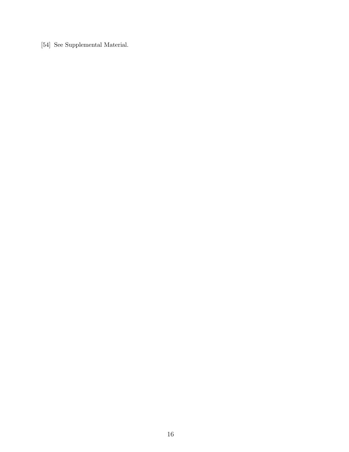[54] See Supplemental Material.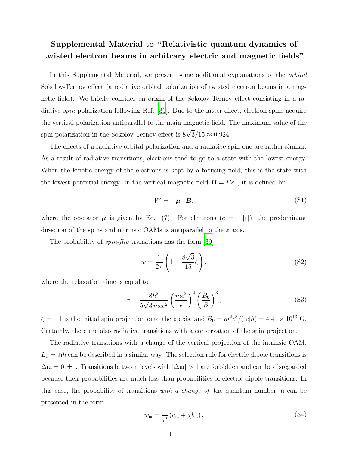## Supplemental Material to "Relativistic quantum dynamics of twisted electron beams in arbitrary electric and magnetic fields"

In this Supplemental Material, we present some additional explanations of the orbital Sokolov-Ternov effect (a radiative orbital polarization of twisted electron beams in a magnetic field). We briefly consider an origin of the Sokolov-Ternov effect consisting in a radiative spin polarization following Ref. [\[39](#page-13-10)]. Due to the latter effect, electron spins acquire the vertical polarization antiparallel to the main magnetic field. The maximum value of the spin polarization in the Sokolov-Ternov effect is  $8\sqrt{3}/15 \approx 0.924$ .

The effects of a radiative orbital polarization and a radiative spin one are rather similar. As a result of radiative transitions, electrons tend to go to a state with the lowest energy. When the kinetic energy of the electrons is kept by a focusing field, this is the state with the lowest potential energy. In the vertical magnetic field  $\mathbf{B} = B\mathbf{e}_z$ , it is defined by

<span id="page-16-0"></span>
$$
W = -\mu \cdot B,\tag{S1}
$$

where the operator  $\mu$  is given by Eq. (7). For electrons  $(e = -|e|)$ , the predominant direction of the spins and intrinsic OAMs is antiparallel to the z axis.

The probability of *spin-flip* transitions has the form [\[39](#page-13-10)]

$$
w = \frac{1}{2\tau} \left( 1 + \frac{8\sqrt{3}}{15} \zeta \right),\tag{S2}
$$

where the relaxation time is equal to

<span id="page-16-1"></span>
$$
\tau = \frac{8\hbar^2}{5\sqrt{3}mce^2} \left(\frac{mc^2}{\epsilon}\right)^2 \left(\frac{B_0}{B}\right)^3,\tag{S3}
$$

 $\zeta = \pm 1$  is the initial spin projection onto the z axis, and  $B_0 = m^2 c^3 / (|e|\hbar) = 4.41 \times 10^{13}$  G. Certainly, there are also radiative transitions with a conservation of the spin projection.

The radiative transitions with a change of the vertical projection of the intrinsic OAM,  $L_z = m\hbar$  can be described in a similar way. The selection rule for electric dipole transitions is  $\Delta \mathfrak{m} = 0, \pm 1$ . Transitions between levels with  $|\Delta \mathfrak{m}| > 1$  are forbidden and can be disregarded because their probabilities are much less than probabilities of electric dipole transitions. In this case, the probability of transitions with a change of the quantum number  $\mathfrak{m}$  can be presented in the form

<span id="page-16-2"></span>
$$
w_{\mathfrak{m}} = \frac{1}{\tau'} \left( a_{\mathfrak{m}} + \chi b_{\mathfrak{m}} \right),\tag{S4}
$$